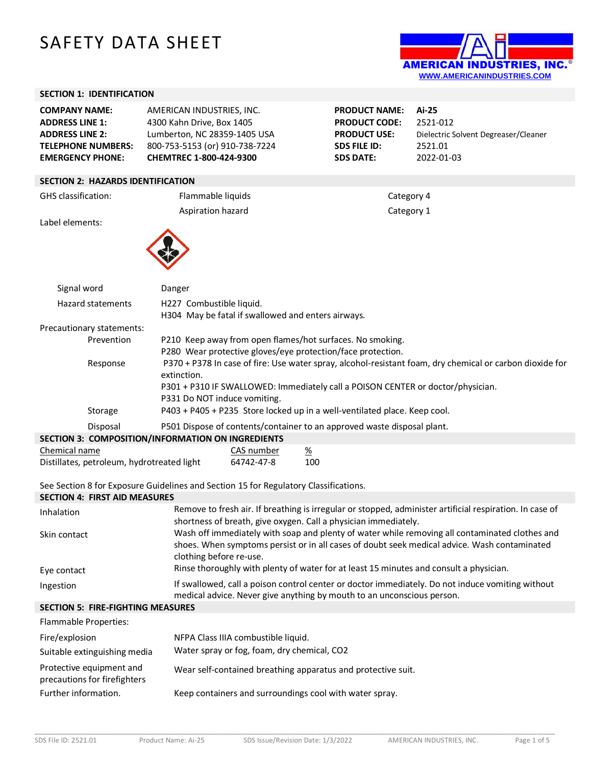# SAFETY DATA SHEET



## **SECTION 1: IDENTIFICATION**

| <b>COMPANY NAME:</b><br><b>ADDRESS LINE 1:</b><br><b>ADDRESS LINE 2:</b><br><b>TELEPHONE NUMBERS:</b><br><b>EMERGENCY PHONE:</b> | AMERICAN INDUSTRIES, INC.<br>4300 Kahn Drive, Box 1405<br>Lumberton, NC 28359-1405 USA<br>800-753-5153 (or) 910-738-7224<br>CHEMTREC 1-800-424-9300                                                        | <b>PRODUCT NAME:</b><br><b>PRODUCT CODE:</b><br><b>PRODUCT USE:</b><br><b>SDS FILE ID:</b><br><b>SDS DATE:</b>           | Ai-25<br>2521-012<br>Dielectric Solvent Degreaser/Cleaner<br>2521.01<br>2022-01-03 |  |
|----------------------------------------------------------------------------------------------------------------------------------|------------------------------------------------------------------------------------------------------------------------------------------------------------------------------------------------------------|--------------------------------------------------------------------------------------------------------------------------|------------------------------------------------------------------------------------|--|
| <b>SECTION 2: HAZARDS IDENTIFICATION</b>                                                                                         |                                                                                                                                                                                                            |                                                                                                                          |                                                                                    |  |
| <b>GHS</b> classification:                                                                                                       | Flammable liquids                                                                                                                                                                                          | Category 4                                                                                                               |                                                                                    |  |
|                                                                                                                                  | Aspiration hazard                                                                                                                                                                                          | Category 1                                                                                                               |                                                                                    |  |
| Label elements:                                                                                                                  |                                                                                                                                                                                                            |                                                                                                                          |                                                                                    |  |
| Signal word                                                                                                                      | Danger                                                                                                                                                                                                     |                                                                                                                          |                                                                                    |  |
| <b>Hazard statements</b>                                                                                                         | H227 Combustible liquid.<br>H304 May be fatal if swallowed and enters airways.                                                                                                                             |                                                                                                                          |                                                                                    |  |
| Precautionary statements:                                                                                                        |                                                                                                                                                                                                            |                                                                                                                          |                                                                                    |  |
| Prevention                                                                                                                       |                                                                                                                                                                                                            | P210 Keep away from open flames/hot surfaces. No smoking.<br>P280 Wear protective gloves/eye protection/face protection. |                                                                                    |  |
| Response                                                                                                                         | P370 + P378 In case of fire: Use water spray, alcohol-resistant foam, dry chemical or carbon dioxide for<br>extinction.<br>P301 + P310 IF SWALLOWED: Immediately call a POISON CENTER or doctor/physician. |                                                                                                                          |                                                                                    |  |

|          | SECTION 3: COMPOSITION/INFORMATION ON INGREDIENTS                               |
|----------|---------------------------------------------------------------------------------|
| Disposal | P501 Dispose of contents/container to an approved waste disposal plant.         |
| Storage  | P403 + P405 + P235 Store locked up in a well-ventilated place. Keep cool.       |
|          | P331 Do NOT induce vomiting.                                                    |
|          | P301 + P310 IF SWALLOWED: Immediately call a POISON CENTER or doctor/physician. |

| Chemical name                              | CAS number | %   |
|--------------------------------------------|------------|-----|
| Distillates, petroleum, hydrotreated light | 64742-47-8 | 100 |

See Section 8 for Exposure Guidelines and Section 15 for Regulatory Classifications.

#### **SECTION 4: FIRST AID MEASURES**

| Inhalation                               | Remove to fresh air. If breathing is irregular or stopped, administer artificial respiration. In case of<br>shortness of breath, give oxygen. Call a physician immediately.                                               |
|------------------------------------------|---------------------------------------------------------------------------------------------------------------------------------------------------------------------------------------------------------------------------|
| Skin contact                             | Wash off immediately with soap and plenty of water while removing all contaminated clothes and<br>shoes. When symptoms persist or in all cases of doubt seek medical advice. Wash contaminated<br>clothing before re-use. |
| Eye contact                              | Rinse thoroughly with plenty of water for at least 15 minutes and consult a physician.                                                                                                                                    |
| Ingestion                                | If swallowed, call a poison control center or doctor immediately. Do not induce vomiting without<br>medical advice. Never give anything by mouth to an unconscious person.                                                |
| <b>SECTION 5: FIRE-FIGHTING MEASURES</b> |                                                                                                                                                                                                                           |
|                                          |                                                                                                                                                                                                                           |

| <b>Flammable Properties:</b>                             |                                                              |
|----------------------------------------------------------|--------------------------------------------------------------|
| Fire/explosion                                           | NFPA Class IIIA combustible liquid.                          |
| Suitable extinguishing media                             | Water spray or fog, foam, dry chemical, CO2                  |
| Protective equipment and<br>precautions for firefighters | Wear self-contained breathing apparatus and protective suit. |
| Further information.                                     | Keep containers and surroundings cool with water spray.      |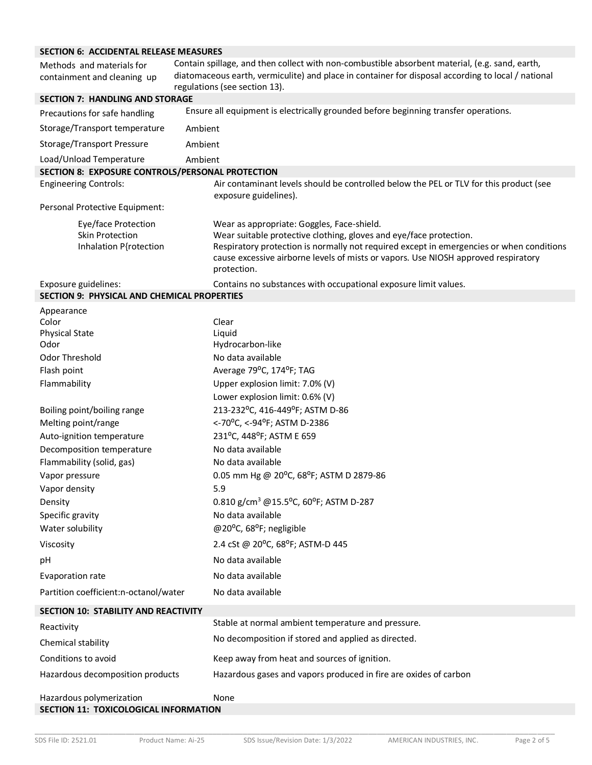| <b>SECTION 6: ACCIDENTAL RELEASE MEASURES</b>                                                                                                                                                                                                                                                                                                   |                                                                                                                                                                                                                                                                                                                                                                                                                                                           |
|-------------------------------------------------------------------------------------------------------------------------------------------------------------------------------------------------------------------------------------------------------------------------------------------------------------------------------------------------|-----------------------------------------------------------------------------------------------------------------------------------------------------------------------------------------------------------------------------------------------------------------------------------------------------------------------------------------------------------------------------------------------------------------------------------------------------------|
| Methods and materials for<br>containment and cleaning up                                                                                                                                                                                                                                                                                        | Contain spillage, and then collect with non-combustible absorbent material, (e.g. sand, earth,<br>diatomaceous earth, vermiculite) and place in container for disposal according to local / national<br>regulations (see section 13).                                                                                                                                                                                                                     |
| <b>SECTION 7: HANDLING AND STORAGE</b>                                                                                                                                                                                                                                                                                                          |                                                                                                                                                                                                                                                                                                                                                                                                                                                           |
| Precautions for safe handling                                                                                                                                                                                                                                                                                                                   | Ensure all equipment is electrically grounded before beginning transfer operations.                                                                                                                                                                                                                                                                                                                                                                       |
| Storage/Transport temperature                                                                                                                                                                                                                                                                                                                   | Ambient                                                                                                                                                                                                                                                                                                                                                                                                                                                   |
| Storage/Transport Pressure                                                                                                                                                                                                                                                                                                                      | Ambient                                                                                                                                                                                                                                                                                                                                                                                                                                                   |
| Load/Unload Temperature                                                                                                                                                                                                                                                                                                                         | Ambient                                                                                                                                                                                                                                                                                                                                                                                                                                                   |
| SECTION 8: EXPOSURE CONTROLS/PERSONAL PROTECTION                                                                                                                                                                                                                                                                                                |                                                                                                                                                                                                                                                                                                                                                                                                                                                           |
| <b>Engineering Controls:</b>                                                                                                                                                                                                                                                                                                                    | Air contaminant levels should be controlled below the PEL or TLV for this product (see<br>exposure guidelines).                                                                                                                                                                                                                                                                                                                                           |
| Personal Protective Equipment:                                                                                                                                                                                                                                                                                                                  |                                                                                                                                                                                                                                                                                                                                                                                                                                                           |
| Eye/face Protection<br>Skin Protection<br>Inhalation P{rotection                                                                                                                                                                                                                                                                                | Wear as appropriate: Goggles, Face-shield.<br>Wear suitable protective clothing, gloves and eye/face protection.<br>Respiratory protection is normally not required except in emergencies or when conditions<br>cause excessive airborne levels of mists or vapors. Use NIOSH approved respiratory<br>protection.                                                                                                                                         |
| Exposure guidelines:                                                                                                                                                                                                                                                                                                                            | Contains no substances with occupational exposure limit values.                                                                                                                                                                                                                                                                                                                                                                                           |
| <b>SECTION 9: PHYSICAL AND CHEMICAL PROPERTIES</b>                                                                                                                                                                                                                                                                                              |                                                                                                                                                                                                                                                                                                                                                                                                                                                           |
| Appearance<br>Color<br><b>Physical State</b><br>Odor<br><b>Odor Threshold</b><br>Flash point<br>Flammability<br>Boiling point/boiling range<br>Melting point/range<br>Auto-ignition temperature<br>Decomposition temperature<br>Flammability (solid, gas)<br>Vapor pressure<br>Vapor density<br>Density<br>Specific gravity<br>Water solubility | Clear<br>Liquid<br>Hydrocarbon-like<br>No data available<br>Average 79°C, 174°F; TAG<br>Upper explosion limit: 7.0% (V)<br>Lower explosion limit: 0.6% (V)<br>213-232°C, 416-449°F; ASTM D-86<br><-70°C, <-94°F; ASTM D-2386<br>231°C, 448°F; ASTM E 659<br>No data available<br>No data available<br>0.05 mm Hg @ 20°C, 68°F; ASTM D 2879-86<br>5.9<br>0.810 g/cm <sup>3</sup> @15.5°C, 60°F; ASTM D-287<br>No data available<br>@20°C, 68°F; negligible |
| Viscosity                                                                                                                                                                                                                                                                                                                                       | 2.4 cSt @ 20°C, 68°F; ASTM-D 445                                                                                                                                                                                                                                                                                                                                                                                                                          |
|                                                                                                                                                                                                                                                                                                                                                 | No data available                                                                                                                                                                                                                                                                                                                                                                                                                                         |
| рH                                                                                                                                                                                                                                                                                                                                              | No data available                                                                                                                                                                                                                                                                                                                                                                                                                                         |
| Evaporation rate                                                                                                                                                                                                                                                                                                                                |                                                                                                                                                                                                                                                                                                                                                                                                                                                           |
| Partition coefficient:n-octanol/water                                                                                                                                                                                                                                                                                                           | No data available                                                                                                                                                                                                                                                                                                                                                                                                                                         |
| SECTION 10: STABILITY AND REACTIVITY                                                                                                                                                                                                                                                                                                            |                                                                                                                                                                                                                                                                                                                                                                                                                                                           |
|                                                                                                                                                                                                                                                                                                                                                 | Stable at normal ambient temperature and pressure                                                                                                                                                                                                                                                                                                                                                                                                         |

| Reactivity                       | Stable at normal ambient temperature and pressure.               |
|----------------------------------|------------------------------------------------------------------|
| Chemical stability               | No decomposition if stored and applied as directed.              |
| Conditions to avoid              | Keep away from heat and sources of ignition.                     |
| Hazardous decomposition products | Hazardous gases and vapors produced in fire are oxides of carbon |
| Hazardous polymerization         | None                                                             |

**SECTION 11: TOXICOLOGICAL INFORMATION**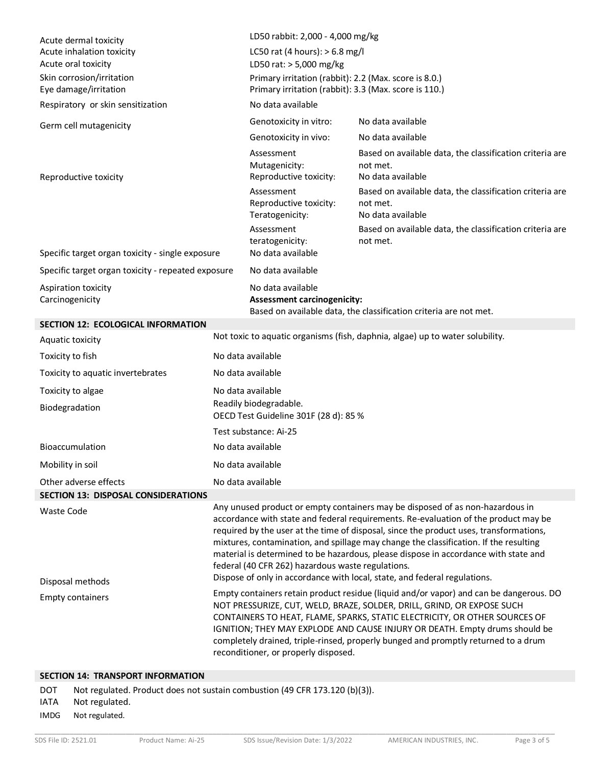| Acute dermal toxicity                                                                     |                                                                                                                                                                                                                                                                                                                                                                                                                                                             | LD50 rabbit: 2,000 - 4,000 mg/kg                                                                                                                                                                                                                                                                                                                                                                                                                                                                    |                                                                                                                                                       |  |
|-------------------------------------------------------------------------------------------|-------------------------------------------------------------------------------------------------------------------------------------------------------------------------------------------------------------------------------------------------------------------------------------------------------------------------------------------------------------------------------------------------------------------------------------------------------------|-----------------------------------------------------------------------------------------------------------------------------------------------------------------------------------------------------------------------------------------------------------------------------------------------------------------------------------------------------------------------------------------------------------------------------------------------------------------------------------------------------|-------------------------------------------------------------------------------------------------------------------------------------------------------|--|
| Acute inhalation toxicity                                                                 |                                                                                                                                                                                                                                                                                                                                                                                                                                                             | LC50 rat (4 hours): $> 6.8$ mg/l                                                                                                                                                                                                                                                                                                                                                                                                                                                                    |                                                                                                                                                       |  |
| Acute oral toxicity                                                                       |                                                                                                                                                                                                                                                                                                                                                                                                                                                             | LD50 rat: > 5,000 mg/kg                                                                                                                                                                                                                                                                                                                                                                                                                                                                             |                                                                                                                                                       |  |
| Skin corrosion/irritation<br>Eye damage/irritation                                        |                                                                                                                                                                                                                                                                                                                                                                                                                                                             | Primary irritation (rabbit): 2.2 (Max. score is 8.0.)<br>Primary irritation (rabbit): 3.3 (Max. score is 110.)                                                                                                                                                                                                                                                                                                                                                                                      |                                                                                                                                                       |  |
| Respiratory or skin sensitization                                                         |                                                                                                                                                                                                                                                                                                                                                                                                                                                             | No data available                                                                                                                                                                                                                                                                                                                                                                                                                                                                                   |                                                                                                                                                       |  |
| Germ cell mutagenicity                                                                    |                                                                                                                                                                                                                                                                                                                                                                                                                                                             | Genotoxicity in vitro:                                                                                                                                                                                                                                                                                                                                                                                                                                                                              | No data available                                                                                                                                     |  |
|                                                                                           |                                                                                                                                                                                                                                                                                                                                                                                                                                                             | Genotoxicity in vivo:                                                                                                                                                                                                                                                                                                                                                                                                                                                                               | No data available                                                                                                                                     |  |
| Reproductive toxicity                                                                     |                                                                                                                                                                                                                                                                                                                                                                                                                                                             | Assessment<br>Mutagenicity:<br>Reproductive toxicity:<br>Assessment                                                                                                                                                                                                                                                                                                                                                                                                                                 | Based on available data, the classification criteria are<br>not met.<br>No data available<br>Based on available data, the classification criteria are |  |
|                                                                                           |                                                                                                                                                                                                                                                                                                                                                                                                                                                             | Reproductive toxicity:<br>Teratogenicity:                                                                                                                                                                                                                                                                                                                                                                                                                                                           | not met.<br>No data available                                                                                                                         |  |
|                                                                                           |                                                                                                                                                                                                                                                                                                                                                                                                                                                             | Assessment                                                                                                                                                                                                                                                                                                                                                                                                                                                                                          | Based on available data, the classification criteria are                                                                                              |  |
| Specific target organ toxicity - single exposure                                          |                                                                                                                                                                                                                                                                                                                                                                                                                                                             | teratogenicity:<br>No data available                                                                                                                                                                                                                                                                                                                                                                                                                                                                | not met.                                                                                                                                              |  |
| Specific target organ toxicity - repeated exposure                                        |                                                                                                                                                                                                                                                                                                                                                                                                                                                             | No data available                                                                                                                                                                                                                                                                                                                                                                                                                                                                                   |                                                                                                                                                       |  |
| Aspiration toxicity<br>Carcinogenicity                                                    |                                                                                                                                                                                                                                                                                                                                                                                                                                                             | No data available<br><b>Assessment carcinogenicity:</b><br>Based on available data, the classification criteria are not met.                                                                                                                                                                                                                                                                                                                                                                        |                                                                                                                                                       |  |
| <b>SECTION 12: ECOLOGICAL INFORMATION</b>                                                 |                                                                                                                                                                                                                                                                                                                                                                                                                                                             |                                                                                                                                                                                                                                                                                                                                                                                                                                                                                                     |                                                                                                                                                       |  |
| Aquatic toxicity                                                                          |                                                                                                                                                                                                                                                                                                                                                                                                                                                             |                                                                                                                                                                                                                                                                                                                                                                                                                                                                                                     | Not toxic to aquatic organisms (fish, daphnia, algae) up to water solubility.                                                                         |  |
| Toxicity to fish                                                                          |                                                                                                                                                                                                                                                                                                                                                                                                                                                             | No data available                                                                                                                                                                                                                                                                                                                                                                                                                                                                                   |                                                                                                                                                       |  |
| Toxicity to aquatic invertebrates                                                         |                                                                                                                                                                                                                                                                                                                                                                                                                                                             | No data available                                                                                                                                                                                                                                                                                                                                                                                                                                                                                   |                                                                                                                                                       |  |
| Toxicity to algae                                                                         |                                                                                                                                                                                                                                                                                                                                                                                                                                                             | No data available                                                                                                                                                                                                                                                                                                                                                                                                                                                                                   |                                                                                                                                                       |  |
| Biodegradation                                                                            |                                                                                                                                                                                                                                                                                                                                                                                                                                                             | Readily biodegradable.<br>OECD Test Guideline 301F (28 d): 85 %                                                                                                                                                                                                                                                                                                                                                                                                                                     |                                                                                                                                                       |  |
|                                                                                           |                                                                                                                                                                                                                                                                                                                                                                                                                                                             | Test substance: Ai-25                                                                                                                                                                                                                                                                                                                                                                                                                                                                               |                                                                                                                                                       |  |
| Bioaccumulation                                                                           |                                                                                                                                                                                                                                                                                                                                                                                                                                                             | No data available                                                                                                                                                                                                                                                                                                                                                                                                                                                                                   |                                                                                                                                                       |  |
| Mobility in soil                                                                          |                                                                                                                                                                                                                                                                                                                                                                                                                                                             | No data available                                                                                                                                                                                                                                                                                                                                                                                                                                                                                   |                                                                                                                                                       |  |
| Other adverse effects                                                                     |                                                                                                                                                                                                                                                                                                                                                                                                                                                             | No data available                                                                                                                                                                                                                                                                                                                                                                                                                                                                                   |                                                                                                                                                       |  |
| <b>SECTION 13: DISPOSAL CONSIDERATIONS</b>                                                |                                                                                                                                                                                                                                                                                                                                                                                                                                                             |                                                                                                                                                                                                                                                                                                                                                                                                                                                                                                     |                                                                                                                                                       |  |
| Waste Code                                                                                |                                                                                                                                                                                                                                                                                                                                                                                                                                                             | Any unused product or empty containers may be disposed of as non-hazardous in<br>accordance with state and federal requirements. Re-evaluation of the product may be<br>required by the user at the time of disposal, since the product uses, transformations,<br>mixtures, contamination, and spillage may change the classification. If the resulting<br>material is determined to be hazardous, please dispose in accordance with state and<br>federal (40 CFR 262) hazardous waste regulations. |                                                                                                                                                       |  |
| Disposal methods                                                                          | Dispose of only in accordance with local, state, and federal regulations.                                                                                                                                                                                                                                                                                                                                                                                   |                                                                                                                                                                                                                                                                                                                                                                                                                                                                                                     |                                                                                                                                                       |  |
| <b>Empty containers</b>                                                                   | Empty containers retain product residue (liquid and/or vapor) and can be dangerous. DO<br>NOT PRESSURIZE, CUT, WELD, BRAZE, SOLDER, DRILL, GRIND, OR EXPOSE SUCH<br>CONTAINERS TO HEAT, FLAME, SPARKS, STATIC ELECTRICITY, OR OTHER SOURCES OF<br>IGNITION; THEY MAY EXPLODE AND CAUSE INJURY OR DEATH. Empty drums should be<br>completely drained, triple-rinsed, properly bunged and promptly returned to a drum<br>reconditioner, or properly disposed. |                                                                                                                                                                                                                                                                                                                                                                                                                                                                                                     |                                                                                                                                                       |  |
| <b>SECTION 14: TRANSPORT INFORMATION</b>                                                  |                                                                                                                                                                                                                                                                                                                                                                                                                                                             |                                                                                                                                                                                                                                                                                                                                                                                                                                                                                                     |                                                                                                                                                       |  |
| <b>DOT</b><br>Not regulated. Product does not sustain combustion (49 CFR 173.120 (b)(3)). |                                                                                                                                                                                                                                                                                                                                                                                                                                                             |                                                                                                                                                                                                                                                                                                                                                                                                                                                                                                     |                                                                                                                                                       |  |
| Not regulated.<br><b>IATA</b>                                                             |                                                                                                                                                                                                                                                                                                                                                                                                                                                             |                                                                                                                                                                                                                                                                                                                                                                                                                                                                                                     |                                                                                                                                                       |  |

# IMDG Not regulated.